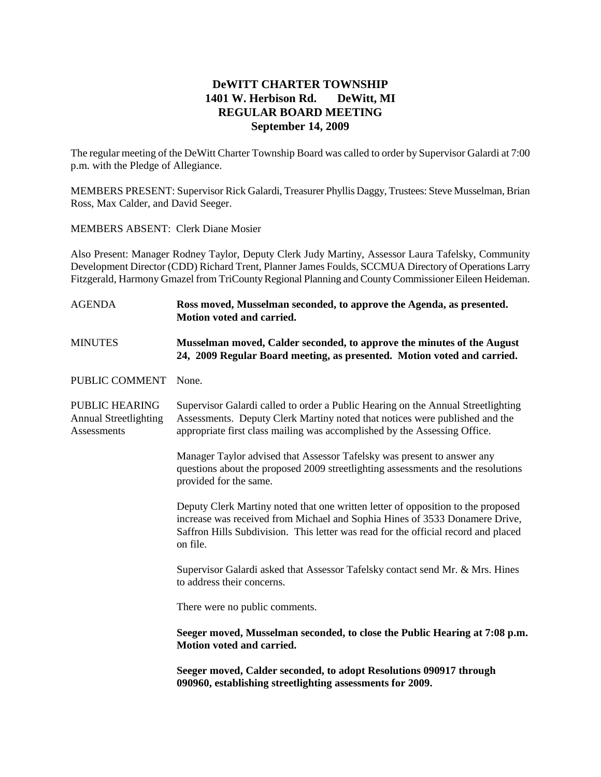# **DeWITT CHARTER TOWNSHIP 1401 W. Herbison Rd. DeWitt, MI REGULAR BOARD MEETING September 14, 2009**

The regular meeting of the DeWitt Charter Township Board was called to order by Supervisor Galardi at 7:00 p.m. with the Pledge of Allegiance.

MEMBERS PRESENT: Supervisor Rick Galardi, Treasurer Phyllis Daggy, Trustees: Steve Musselman, Brian Ross, Max Calder, and David Seeger.

MEMBERS ABSENT: Clerk Diane Mosier

Also Present: Manager Rodney Taylor, Deputy Clerk Judy Martiny, Assessor Laura Tafelsky, Community Development Director (CDD) Richard Trent, Planner James Foulds, SCCMUA Directory of Operations Larry Fitzgerald, Harmony Gmazel from TriCounty Regional Planning and County Commissioner Eileen Heideman.

## AGENDA **Ross moved, Musselman seconded, to approve the Agenda, as presented. Motion voted and carried.**

# MINUTES **Musselman moved, Calder seconded, to approve the minutes of the August 24, 2009 Regular Board meeting, as presented. Motion voted and carried.**

PUBLIC COMMENT None.

PUBLIC HEARING Supervisor Galardi called to order a Public Hearing on the Annual Streetlighting Annual Streetlighting Assessments. Deputy Clerk Martiny noted that notices were published and the Assessments appropriate first class mailing was accomplished by the Assessing Office.

> Manager Taylor advised that Assessor Tafelsky was present to answer any questions about the proposed 2009 streetlighting assessments and the resolutions provided for the same.

> Deputy Clerk Martiny noted that one written letter of opposition to the proposed increase was received from Michael and Sophia Hines of 3533 Donamere Drive, Saffron Hills Subdivision. This letter was read for the official record and placed on file.

> Supervisor Galardi asked that Assessor Tafelsky contact send Mr. & Mrs. Hines to address their concerns.

There were no public comments.

**Seeger moved, Musselman seconded, to close the Public Hearing at 7:08 p.m. Motion voted and carried.**

**Seeger moved, Calder seconded, to adopt Resolutions 090917 through 090960, establishing streetlighting assessments for 2009.**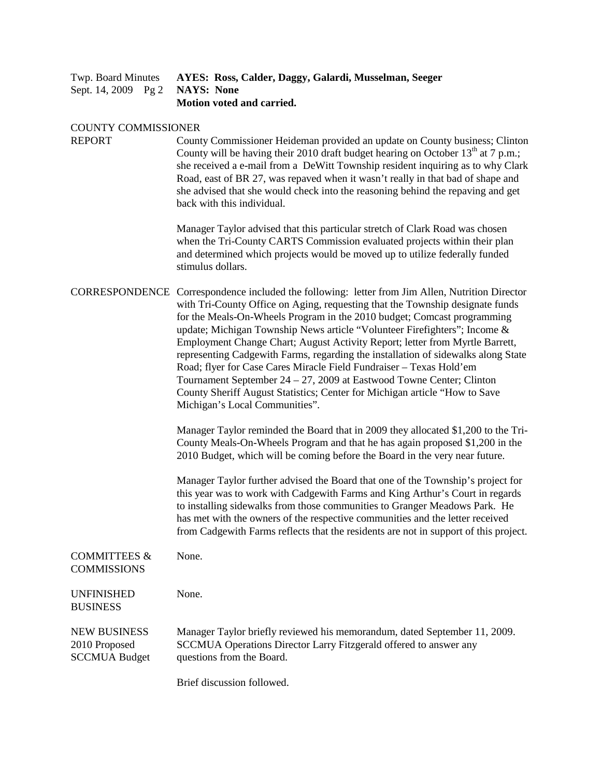|  |  | Twp. Board Minutes AYES: Ross, Calder, Daggy, Galardi, Musselman, Seeger |
|--|--|--------------------------------------------------------------------------|
|  |  | Sept. 14, 2009 Pg 2 NAYS: None                                           |
|  |  | Motion voted and carried.                                                |

#### COUNTY COMMISSIONER

REPORT County Commissioner Heideman provided an update on County business; Clinton County will be having their 2010 draft budget hearing on October  $13<sup>th</sup>$  at 7 p.m.; she received a e-mail from a DeWitt Township resident inquiring as to why Clark Road, east of BR 27, was repaved when it wasn't really in that bad of shape and she advised that she would check into the reasoning behind the repaving and get back with this individual.

> Manager Taylor advised that this particular stretch of Clark Road was chosen when the Tri-County CARTS Commission evaluated projects within their plan and determined which projects would be moved up to utilize federally funded stimulus dollars.

## CORRESPONDENCE Correspondence included the following: letter from Jim Allen, Nutrition Director with Tri-County Office on Aging, requesting that the Township designate funds for the Meals-On-Wheels Program in the 2010 budget; Comcast programming update; Michigan Township News article "Volunteer Firefighters"; Income & Employment Change Chart; August Activity Report; letter from Myrtle Barrett, representing Cadgewith Farms, regarding the installation of sidewalks along State Road; flyer for Case Cares Miracle Field Fundraiser – Texas Hold'em Tournament September 24 – 27, 2009 at Eastwood Towne Center; Clinton County Sheriff August Statistics; Center for Michigan article "How to Save Michigan's Local Communities".

Manager Taylor reminded the Board that in 2009 they allocated \$1,200 to the Tri-County Meals-On-Wheels Program and that he has again proposed \$1,200 in the 2010 Budget, which will be coming before the Board in the very near future.

Manager Taylor further advised the Board that one of the Township's project for this year was to work with Cadgewith Farms and King Arthur's Court in regards to installing sidewalks from those communities to Granger Meadows Park. He has met with the owners of the respective communities and the letter received from Cadgewith Farms reflects that the residents are not in support of this project.

| <b>COMMITTEES &amp;</b><br><b>COMMISSIONS</b>                | None.                                                                                                                                                                       |
|--------------------------------------------------------------|-----------------------------------------------------------------------------------------------------------------------------------------------------------------------------|
| <b>UNFINISHED</b><br><b>BUSINESS</b>                         | None.                                                                                                                                                                       |
| <b>NEW BUSINESS</b><br>2010 Proposed<br><b>SCCMUA Budget</b> | Manager Taylor briefly reviewed his memorandum, dated September 11, 2009.<br>SCCMUA Operations Director Larry Fitzgerald offered to answer any<br>questions from the Board. |

Brief discussion followed.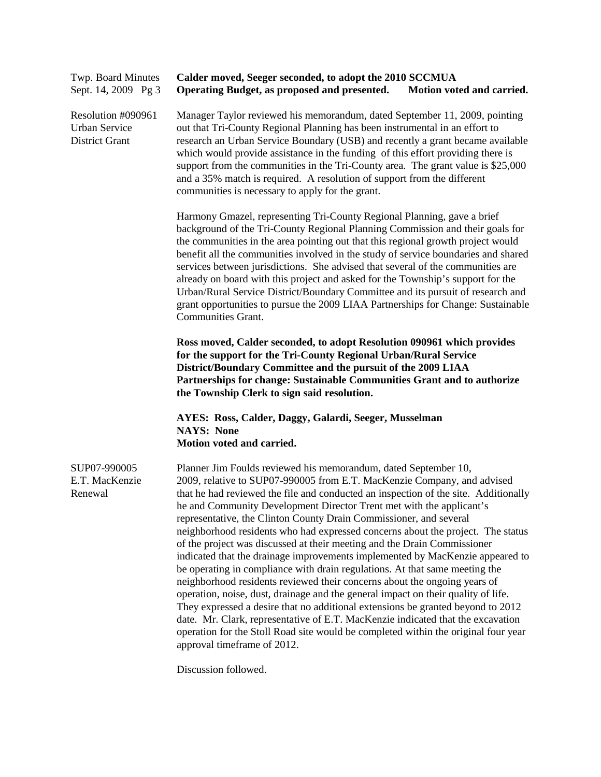| Twp. Board Minutes<br>Sept. 14, 2009 Pg 3                           | Calder moved, Seeger seconded, to adopt the 2010 SCCMUA<br>Operating Budget, as proposed and presented.<br>Motion voted and carried.                                                                                                                                                                                                                                                                                                                                                                                                                                                                                                                                                                                                                                                                                                                                                                                                                                                                                                                                                                                                                                        |  |  |
|---------------------------------------------------------------------|-----------------------------------------------------------------------------------------------------------------------------------------------------------------------------------------------------------------------------------------------------------------------------------------------------------------------------------------------------------------------------------------------------------------------------------------------------------------------------------------------------------------------------------------------------------------------------------------------------------------------------------------------------------------------------------------------------------------------------------------------------------------------------------------------------------------------------------------------------------------------------------------------------------------------------------------------------------------------------------------------------------------------------------------------------------------------------------------------------------------------------------------------------------------------------|--|--|
| Resolution #090961<br><b>Urban Service</b><br><b>District Grant</b> | Manager Taylor reviewed his memorandum, dated September 11, 2009, pointing<br>out that Tri-County Regional Planning has been instrumental in an effort to<br>research an Urban Service Boundary (USB) and recently a grant became available<br>which would provide assistance in the funding of this effort providing there is<br>support from the communities in the Tri-County area. The grant value is \$25,000<br>and a 35% match is required. A resolution of support from the different<br>communities is necessary to apply for the grant.                                                                                                                                                                                                                                                                                                                                                                                                                                                                                                                                                                                                                           |  |  |
|                                                                     | Harmony Gmazel, representing Tri-County Regional Planning, gave a brief<br>background of the Tri-County Regional Planning Commission and their goals for<br>the communities in the area pointing out that this regional growth project would<br>benefit all the communities involved in the study of service boundaries and shared<br>services between jurisdictions. She advised that several of the communities are<br>already on board with this project and asked for the Township's support for the<br>Urban/Rural Service District/Boundary Committee and its pursuit of research and<br>grant opportunities to pursue the 2009 LIAA Partnerships for Change: Sustainable<br><b>Communities Grant.</b>                                                                                                                                                                                                                                                                                                                                                                                                                                                                |  |  |
|                                                                     | Ross moved, Calder seconded, to adopt Resolution 090961 which provides<br>for the support for the Tri-County Regional Urban/Rural Service<br>District/Boundary Committee and the pursuit of the 2009 LIAA<br>Partnerships for change: Sustainable Communities Grant and to authorize<br>the Township Clerk to sign said resolution.                                                                                                                                                                                                                                                                                                                                                                                                                                                                                                                                                                                                                                                                                                                                                                                                                                         |  |  |
|                                                                     | AYES: Ross, Calder, Daggy, Galardi, Seeger, Musselman<br><b>NAYS: None</b><br>Motion voted and carried.                                                                                                                                                                                                                                                                                                                                                                                                                                                                                                                                                                                                                                                                                                                                                                                                                                                                                                                                                                                                                                                                     |  |  |
| SUP07-990005<br>E.T. MacKenzie<br>Renewal                           | Planner Jim Foulds reviewed his memorandum, dated September 10,<br>2009, relative to SUP07-990005 from E.T. MacKenzie Company, and advised<br>that he had reviewed the file and conducted an inspection of the site. Additionally<br>he and Community Development Director Trent met with the applicant's<br>representative, the Clinton County Drain Commissioner, and several<br>neighborhood residents who had expressed concerns about the project. The status<br>of the project was discussed at their meeting and the Drain Commissioner<br>indicated that the drainage improvements implemented by MacKenzie appeared to<br>be operating in compliance with drain regulations. At that same meeting the<br>neighborhood residents reviewed their concerns about the ongoing years of<br>operation, noise, dust, drainage and the general impact on their quality of life.<br>They expressed a desire that no additional extensions be granted beyond to 2012<br>date. Mr. Clark, representative of E.T. MacKenzie indicated that the excavation<br>operation for the Stoll Road site would be completed within the original four year<br>approval timeframe of 2012. |  |  |

Discussion followed.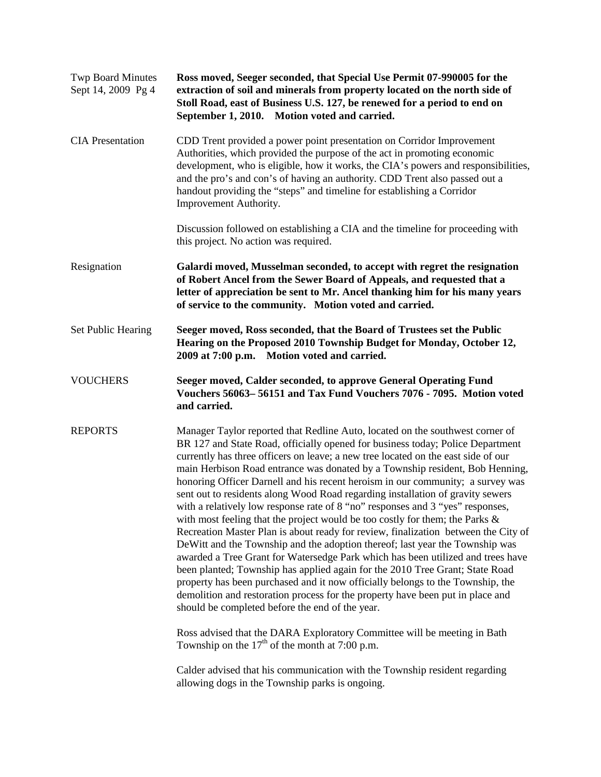| <b>Twp Board Minutes</b><br>Sept 14, 2009 Pg 4 | Ross moved, Seeger seconded, that Special Use Permit 07-990005 for the<br>extraction of soil and minerals from property located on the north side of<br>Stoll Road, east of Business U.S. 127, be renewed for a period to end on<br>September 1, 2010. Motion voted and carried.                                                                                                                                                                                                                                                                                                                                                                                                                                                                                                                                                                                                                                                                                                                                                                                                                                                                                                                                                                                                                                                                                              |  |  |
|------------------------------------------------|-------------------------------------------------------------------------------------------------------------------------------------------------------------------------------------------------------------------------------------------------------------------------------------------------------------------------------------------------------------------------------------------------------------------------------------------------------------------------------------------------------------------------------------------------------------------------------------------------------------------------------------------------------------------------------------------------------------------------------------------------------------------------------------------------------------------------------------------------------------------------------------------------------------------------------------------------------------------------------------------------------------------------------------------------------------------------------------------------------------------------------------------------------------------------------------------------------------------------------------------------------------------------------------------------------------------------------------------------------------------------------|--|--|
| <b>CIA</b> Presentation                        | CDD Trent provided a power point presentation on Corridor Improvement<br>Authorities, which provided the purpose of the act in promoting economic<br>development, who is eligible, how it works, the CIA's powers and responsibilities,<br>and the pro's and con's of having an authority. CDD Trent also passed out a<br>handout providing the "steps" and timeline for establishing a Corridor<br>Improvement Authority.                                                                                                                                                                                                                                                                                                                                                                                                                                                                                                                                                                                                                                                                                                                                                                                                                                                                                                                                                    |  |  |
|                                                | Discussion followed on establishing a CIA and the timeline for proceeding with<br>this project. No action was required.                                                                                                                                                                                                                                                                                                                                                                                                                                                                                                                                                                                                                                                                                                                                                                                                                                                                                                                                                                                                                                                                                                                                                                                                                                                       |  |  |
| Resignation                                    | Galardi moved, Musselman seconded, to accept with regret the resignation<br>of Robert Ancel from the Sewer Board of Appeals, and requested that a<br>letter of appreciation be sent to Mr. Ancel thanking him for his many years<br>of service to the community. Motion voted and carried.                                                                                                                                                                                                                                                                                                                                                                                                                                                                                                                                                                                                                                                                                                                                                                                                                                                                                                                                                                                                                                                                                    |  |  |
| <b>Set Public Hearing</b>                      | Seeger moved, Ross seconded, that the Board of Trustees set the Public<br>Hearing on the Proposed 2010 Township Budget for Monday, October 12,<br>2009 at 7:00 p.m. Motion voted and carried.                                                                                                                                                                                                                                                                                                                                                                                                                                                                                                                                                                                                                                                                                                                                                                                                                                                                                                                                                                                                                                                                                                                                                                                 |  |  |
| <b>VOUCHERS</b>                                | Seeger moved, Calder seconded, to approve General Operating Fund<br>Vouchers 56063-56151 and Tax Fund Vouchers 7076 - 7095. Motion voted<br>and carried.                                                                                                                                                                                                                                                                                                                                                                                                                                                                                                                                                                                                                                                                                                                                                                                                                                                                                                                                                                                                                                                                                                                                                                                                                      |  |  |
| <b>REPORTS</b>                                 | Manager Taylor reported that Redline Auto, located on the southwest corner of<br>BR 127 and State Road, officially opened for business today; Police Department<br>currently has three officers on leave; a new tree located on the east side of our<br>main Herbison Road entrance was donated by a Township resident, Bob Henning,<br>honoring Officer Darnell and his recent heroism in our community; a survey was<br>sent out to residents along Wood Road regarding installation of gravity sewers<br>with a relatively low response rate of 8 "no" responses and 3 "yes" responses,<br>with most feeling that the project would be too costly for them; the Parks $\&$<br>Recreation Master Plan is about ready for review, finalization between the City of<br>DeWitt and the Township and the adoption thereof; last year the Township was<br>awarded a Tree Grant for Watersedge Park which has been utilized and trees have<br>been planted; Township has applied again for the 2010 Tree Grant; State Road<br>property has been purchased and it now officially belongs to the Township, the<br>demolition and restoration process for the property have been put in place and<br>should be completed before the end of the year.<br>Ross advised that the DARA Exploratory Committee will be meeting in Bath<br>Township on the $17th$ of the month at 7:00 p.m. |  |  |
|                                                | Calder advised that his communication with the Township resident regarding<br>allowing dogs in the Township parks is ongoing.                                                                                                                                                                                                                                                                                                                                                                                                                                                                                                                                                                                                                                                                                                                                                                                                                                                                                                                                                                                                                                                                                                                                                                                                                                                 |  |  |